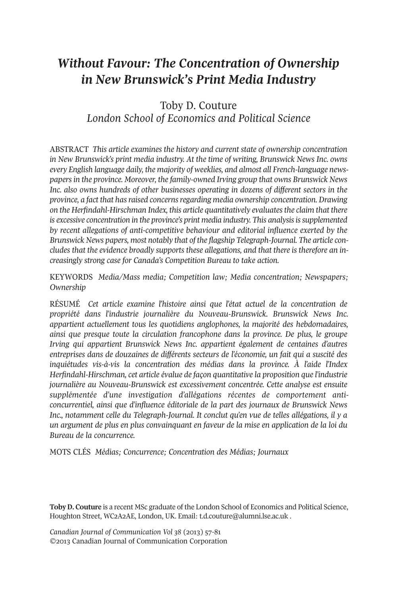# *Without Favour: The Concentration of Ownership in New Brunswick's Print Media Industry*

## Toby D. Couture *London School of Economics and Political Science*

ABSTRACT *This article examines the history and current state of ownership concentration in New Brunswick's print media industry. At the time of writing, Brunswick News Inc. owns every English language daily, the majority of weeklies, and almost all French-language newspapersin the province. Moreover, the family-owned Irving group that owns Brunswick News Inc. also owns hundreds of other businesses operating in dozens of different sectors in the province, a fact that hasraised concernsregarding media ownership concentration. Drawing on the Herfindahl-Hirschman Index, this article quantitatively evaluatesthe claim that there is excessive concentration in the province's print media industry. This analysisissupplemented by recent allegations of anti-competitive behaviour and editorial influence exerted by the Brunswick News papers, most notably that of the flagship Telegraph-Journal. The article concludes that the evidence broadly supports these allegations, and that there is therefore an increasingly strong case for Canada's Competition Bureau to take action.*

KEYWORDS *Media/Mass media; Competition law; Media concentration; Newspapers; Ownership*

RÉSUMÉ *Cet article examine l'histoire ainsi que l'état actuel de la concentration de propriété dans l'industrie journalière du Nouveau-Brunswick. Brunswick News Inc. appartient actuellement tous les quotidiens anglophones, la majorité des hebdomadaires, ainsi que presque toute la circulation francophone dans la province. De plus, le groupe Irving qui appartient Brunswick News Inc. appartient également de centaines d'autres entreprises dans de douzaines de différents secteurs de l'économie, un fait qui a suscité des inquiétudes vis-à-vis la concentration des médias dans la province. À l'aide l'Index Herfindahl-Hirschman, cet article évalue de façon quantitative la proposition que l'industrie journalière au Nouveau-Brunswick est excessivement concentrée. Cette analyse est ensuite supplémentée d'une investigation d'allégations récentes de comportement anticoncurrentiel, ainsi que d'influence éditoriale de la part des journaux de Brunswick News Inc., notamment celle du Telegraph-Journal. It conclut qu'en vue de telles allégations, il y a un argument de plus en plus convainquant en faveur de la mise en application de la loi du Bureau de la concurrence.*

MOTS CLÉS *Médias; Concurrence; Concentration des Médias; Journaux*

**Toby D. Couture** is a recent MSc graduate of the London School of Economics and Political Science, Houghton Street, WC2A2AE, London, UK. Email: <t.d.couture@alumni.lse.ac.uk> .

*Canadian Journal of Communication Vol 38* (2013) 57-81 ©2013 Canadian Journal of Communication Corporation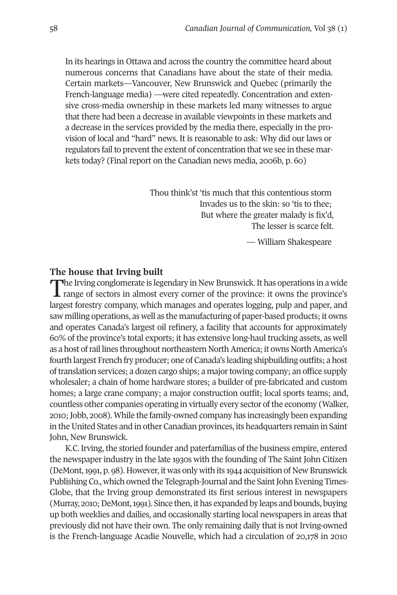In its hearings in Ottawa and across the country the committee heard about numerous concerns that Canadians have about the state of their media. Certain markets—Vancouver, New Brunswick and Quebec (primarily the French-language media) —were cited repeatedly. Concentration and extensive cross-media ownership in these markets led many witnesses to argue that there had been a decrease in available viewpoints in these markets and a decrease in the services provided by the media there, especially in the provision of local and "hard" news. It is reasonable to ask: Why did our laws or regulators fail to prevent the extent of concentration that we see in these markets today? (Final report on the Canadian news media, 2006b, p. 60)

> Thou think'st 'tis much that this contentious storm Invades us to the skin: so 'tis to thee; But where the greater malady is fix'd, The lesser is scarce felt.

> > — William Shakespeare

## **The house that Irving built**

**The Irving conglomerate is legendary in New Brunswick. It has operations in a wide**  $\blacksquare$  range of sectors in almost every corner of the province: it owns the province's largest forestry company, which manages and operates logging, pulp and paper, and saw milling operations, as well as the manufacturing of paper-based products; it owns and operates Canada's largest oil refinery, a facility that accounts for approximately 60% of the province's total exports; it has extensive long-haul trucking assets, as well as a host of rail lines throughout northeastern North America; it owns North America's fourth largest French fry producer; one of Canada's leading shipbuilding outfits; a host oftranslation services; a dozen cargo ships; a majortowing company; an office supply wholesaler; a chain of home hardware stores; a builder of pre-fabricated and custom homes; a large crane company; a major construction outfit; local sports teams; and, countless other companies operating in virtually every sector of the economy (Walker, 2010;Jobb, 2008). While the family-owned company has increasingly been expanding in the United States and in other Canadian provinces, its headquarters remain in Saint John, New Brunswick.

K.C. Irving, the storied founder and paterfamilias of the business empire, entered the newspaper industry in the late 1930s with the founding of The Saint John Citizen (DeMont,1991, p. 98). However, it was only with its 1944 acquisition of New Brunswick Publishing Co., which owned the Telegraph-Journal and the Saint John Evening Times-Globe, that the Irving group demonstrated its first serious interest in newspapers (Murray, 2010; DeMont, 1991). Since then, it has expanded by leaps and bounds, buying up both weeklies and dailies, and occasionally starting local newspapers in areas that previously did not have their own. The only remaining daily that is not Irving-owned is the French-language Acadie Nouvelle, which had a circulation of 20,178 in 2010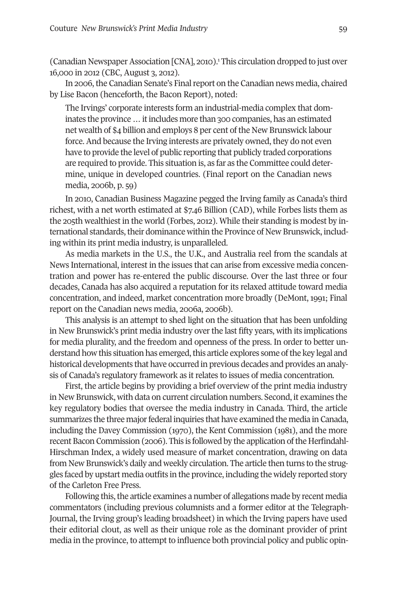(Canadian Newspaper Association [CNA], 2010).<sup>1</sup> This circulation dropped to just over 16,000 in 2012 (CBC, August 3, 2012).

In 2006, the Canadian Senate's Final report on the Canadian news media, chaired by Lise Bacon (henceforth, the Bacon Report), noted:

The Irvings' corporate interests form an industrial-media complex that dominates the province ... it includes more than 300 companies, has an estimated net wealth of \$4 billion and employs 8 per cent of the New Brunswick labour force. And because the Irving interests are privately owned, they do not even have to provide the level of public reporting that publicly traded corporations are required to provide. This situation is, as far as the Committee could determine, unique in developed countries. (Final report on the Canadian news media, 2006b, p. 59)

In 2010, Canadian Business Magazine pegged the Irving family as Canada's third richest, with a net worth estimated at \$7.46 Billion (CAD), while Forbes lists them as the 205th wealthiest in the world (Forbes, 2012). While their standing is modest by international standards, their dominance within the Province of New Brunswick, including within its print media industry, is unparalleled.

As media markets in the U.S., the U.K., and Australia reel from the scandals at News International, interest in the issues that can arise from excessive media concentration and power has re-entered the public discourse. Over the last three or four decades, Canada has also acquired a reputation for its relaxed attitude toward media concentration, and indeed, market concentration more broadly (DeMont, 1991; Final report on the Canadian news media, 2006a, 2006b).

This analysis is an attempt to shed light on the situation that has been unfolding in New Brunswick's print media industry over the last fifty years, with its implications for media plurality, and the freedom and openness of the press. In order to better understand how this situation has emerged, this article explores some of the key legal and historical developments that have occurred in previous decades and provides an analysis of Canada's regulatory framework as it relates to issues of media concentration.

First, the article begins by providing a brief overview of the print media industry in New Brunswick, with data on current circulation numbers. Second, it examines the key regulatory bodies that oversee the media industry in Canada. Third, the article summarizes the three major federal inquiries that have examined the media in Canada, including the Davey Commission (1970), the Kent Commission (1981), and the more recent Bacon Commission (2006). This is followed by the application of the Herfindahl-Hirschman Index, a widely used measure of market concentration, drawing on data from New Brunswick's daily and weekly circulation. The article then turns to the struggles faced by upstart media outfits in the province, including the widely reported story of the Carleton Free Press.

Following this, the article examines a number of allegations made by recent media commentators (including previous columnists and a former editor at the Telegraph-Journal, the Irving group's leading broadsheet) in which the Irving papers have used their editorial clout, as well as their unique role as the dominant provider of print media in the province, to attempt to influence both provincial policy and public opin-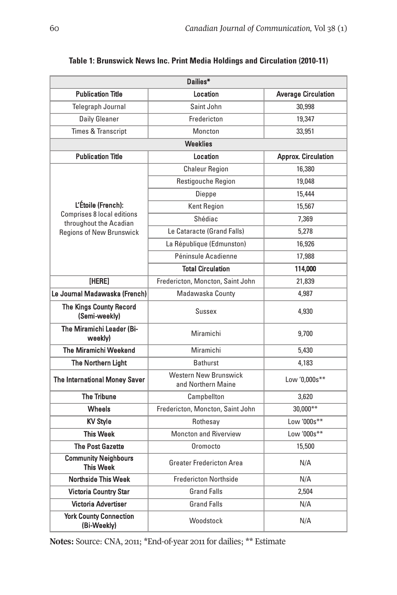| Dailies*                                                    |                                                    |                            |  |  |  |  |  |
|-------------------------------------------------------------|----------------------------------------------------|----------------------------|--|--|--|--|--|
| <b>Publication Title</b>                                    | Location                                           | <b>Average Circulation</b> |  |  |  |  |  |
| Telegraph Journal                                           | Saint John                                         | 30,998                     |  |  |  |  |  |
| <b>Daily Gleaner</b>                                        | Fredericton                                        | 19,347                     |  |  |  |  |  |
| <b>Times &amp; Transcript</b>                               | Moncton                                            | 33,951                     |  |  |  |  |  |
| <b>Weeklies</b>                                             |                                                    |                            |  |  |  |  |  |
| <b>Publication Title</b>                                    | Location                                           | <b>Approx. Circulation</b> |  |  |  |  |  |
|                                                             | <b>Chaleur Region</b>                              | 16,380                     |  |  |  |  |  |
|                                                             | Restigouche Region                                 | 19,048                     |  |  |  |  |  |
|                                                             | Dieppe                                             | 15,444                     |  |  |  |  |  |
| L'Étoile (French):                                          | <b>Kent Region</b>                                 | 15,567                     |  |  |  |  |  |
| <b>Comprises 8 local editions</b><br>throughout the Acadian | Shédiac                                            | 7,369                      |  |  |  |  |  |
| <b>Regions of New Brunswick</b>                             | Le Cataracte (Grand Falls)                         | 5,278                      |  |  |  |  |  |
|                                                             | La République (Edmunston)                          | 16,926                     |  |  |  |  |  |
|                                                             | Péninsule Acadienne                                | 17,988                     |  |  |  |  |  |
|                                                             | <b>Total Circulation</b>                           | 114,000                    |  |  |  |  |  |
| [HERE]                                                      | Fredericton, Moncton, Saint John                   | 21,839                     |  |  |  |  |  |
| Le Journal Madawaska (French)                               | Madawaska County                                   | 4,987                      |  |  |  |  |  |
| The Kings County Record<br>(Semi-weekly)                    | Sussex                                             | 4,930                      |  |  |  |  |  |
| The Miramichi Leader (Bi-<br>weekly)                        | Miramichi                                          | 9,700                      |  |  |  |  |  |
| The Miramichi Weekend                                       | Miramichi                                          | 5,430                      |  |  |  |  |  |
| The Northern Light                                          | <b>Bathurst</b>                                    | 4,183                      |  |  |  |  |  |
| The International Money Saver                               | <b>Western New Brunswick</b><br>and Northern Maine | Low '0,000s**              |  |  |  |  |  |
| <b>The Tribune</b>                                          | Campbellton                                        | 3,620                      |  |  |  |  |  |
| <b>Wheels</b>                                               | Fredericton, Moncton, Saint John                   | $30,000**$                 |  |  |  |  |  |
| <b>KV Style</b>                                             | Rothesav                                           | Low '000s**                |  |  |  |  |  |
| <b>This Week</b>                                            | <b>Moncton and Riverview</b>                       | Low '000s**                |  |  |  |  |  |
| <b>The Post Gazette</b>                                     | Oromocto                                           | 15,500                     |  |  |  |  |  |
| <b>Community Neighbours</b><br><b>This Week</b>             | <b>Greater Fredericton Area</b>                    | N/A                        |  |  |  |  |  |
| <b>Northside This Week</b>                                  | <b>Fredericton Northside</b>                       | N/A                        |  |  |  |  |  |
| <b>Victoria Country Star</b>                                | <b>Grand Falls</b>                                 | 2,504                      |  |  |  |  |  |
| Victoria Advertiser                                         | <b>Grand Falls</b>                                 | N/A                        |  |  |  |  |  |
| <b>York County Connection</b><br>(Bi-Weekly)                | Woodstock                                          | N/A                        |  |  |  |  |  |

## **Table 1: Brunswick News Inc. Print Media Holdings and Circulation (2010-11)**

**Notes:** Source: CNA, 2011; \*End-of-year 2011 for dailies; \*\* Estimate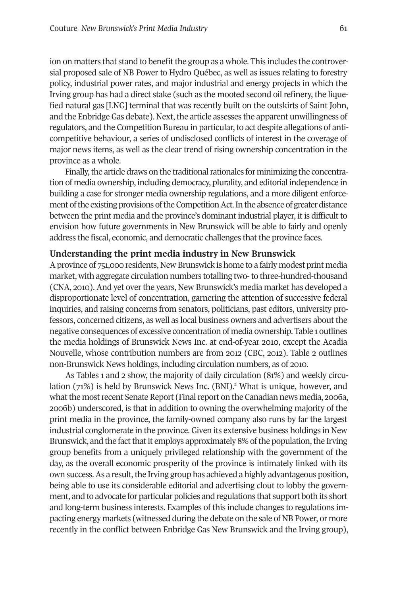ion on matters that stand to benefit the group as a whole. This includes the controversial proposed sale of NB Power to Hydro Québec, as well as issues relating to forestry policy, industrial power rates, and major industrial and energy projects in which the Irving group has had a direct stake (such as the mooted second oil refinery, the liquefied natural gas [LNG] terminal that was recently built on the outskirts of Saint John, and the Enbridge Gas debate). Next, the article assesses the apparent unwillingness of regulators, and the Competition Bureau in particular, to act despite allegations of anticompetitive behaviour, a series of undisclosed conflicts of interest in the coverage of major news items, as well as the clear trend of rising ownership concentration in the province as a whole.

Finally, the article draws on the traditional rationales for minimizing the concentration of media ownership, including democracy, plurality, and editorial independence in building a case for stronger media ownership regulations, and a more diligent enforcement of the existing provisions of the Competition Act. In the absence of greater distance between the print media and the province's dominant industrial player, it is difficult to envision how future governments in New Brunswick will be able to fairly and openly address the fiscal, economic, and democratic challenges that the province faces.

## **Understanding the print media industry in New Brunswick**

Aprovince of 751,000 residents, New Brunswick is home to a fairly modest print media market, with aggregate circulation numbers totalling two-to three-hundred-thousand (CNA, 2010). And yet overthe years, New Brunswick's media market has developed a disproportionate level of concentration, garnering the attention of successive federal inquiries, and raising concerns from senators, politicians, past editors, university professors, concerned citizens, as well as local business owners and advertisers about the negative consequences of excessive concentration of media ownership. Table 1 outlines the media holdings of Brunswick News Inc. at end-of-year 2010, except the Acadia Nouvelle, whose contribution numbers are from 2012 (CBC, 2012). Table 2 outlines non-Brunswick News holdings, including circulation numbers, as of 2010.

As Tables 1 and 2 show, the majority of daily circulation (81%) and weekly circulation (71%) is held by Brunswick News Inc. (BNI). <sup>2</sup> What is unique, however, and what the most recent Senate Report (Final report on the Canadian news media, 2006a, 2006b) underscored, is that in addition to owning the overwhelming majority of the print media in the province, the family-owned company also runs by far the largest industrial conglomerate in the province. Given its extensive business holdings in New Brunswick, and the fact that it employs approximately 8% of the population, the Irving group benefits from a uniquely privileged relationship with the government of the day, as the overall economic prosperity of the province is intimately linked with its own success. As a result, the Irving group has achieved a highly advantageous position, being able to use its considerable editorial and advertising clout to lobby the government, and to advocate for particular policies and regulations that support both its short and long-term business interests. Examples of this include changes to regulations impacting energy markets (witnessed during the debate on the sale of NB Power, or more recently in the conflict between Enbridge Gas New Brunswick and the Irving group),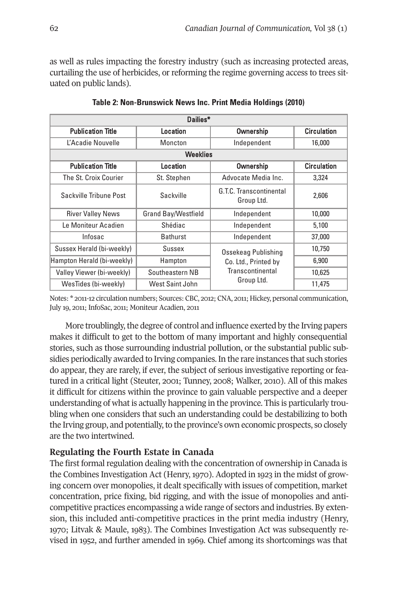as well as rules impacting the forestry industry (such as increasing protected areas, curtailing the use of herbicides, or reforming the regime governing access to trees situated on public lands).

| Dailies*                   |                            |                                       |                    |  |  |  |  |
|----------------------------|----------------------------|---------------------------------------|--------------------|--|--|--|--|
| <b>Publication Title</b>   | Location                   | Ownership                             | <b>Circulation</b> |  |  |  |  |
| L'Acadie Nouvelle          | Moncton<br>Independent     |                                       | 16,000             |  |  |  |  |
| <b>Weeklies</b>            |                            |                                       |                    |  |  |  |  |
| <b>Publication Title</b>   | Location                   | <b>Ownership</b>                      | <b>Circulation</b> |  |  |  |  |
| The St. Croix Courier      | St. Stephen                | Advocate Media Inc.                   | 3,324              |  |  |  |  |
| Sackville Tribune Post     | Sackville                  | G.T.C. Transcontinental<br>Group Ltd. | 2.606              |  |  |  |  |
| <b>River Valley News</b>   | <b>Grand Bay/Westfield</b> | Independent                           | 10,000             |  |  |  |  |
| Le Moniteur Acadien        | Shédiac                    | Independent                           | 5,100              |  |  |  |  |
| Infosac                    | <b>Bathurst</b>            | Independent                           | 37,000             |  |  |  |  |
| Sussex Herald (bi-weekly)  | Sussex                     | Ossekeag Publishing                   | 10,750             |  |  |  |  |
| Hampton Herald (bi-weekly) | Hampton                    | Co. Ltd., Printed by                  | 6,900              |  |  |  |  |
| Valley Viewer (bi-weekly)  | Southeastern NB            | Transcontinental                      | 10,625             |  |  |  |  |
| WesTides (bi-weekly)       | West Saint John            | Group Ltd.                            | 11,475             |  |  |  |  |

**Table 2: Non-Brunswick News Inc. Print Media Holdings (2010)**

Notes: \* 2011-12 circulation numbers; Sources: CBC, 2012; CNA, 2011; Hickey, personal communication, July 19, 2011; InfoSac, 2011; Moniteur Acadien, 2011

More troublingly, the degree of control and influence exerted by the Irving papers makes it difficult to get to the bottom of many important and highly consequential stories, such as those surrounding industrial pollution, or the substantial public subsidies periodically awarded to Irving companies.In the rare instances that such stories do appear, they are rarely, if ever, the subject of serious investigative reporting or featured in a critical light (Steuter, 2001; Tunney, 2008; Walker, 2010). All of this makes it difficult for citizens within the province to gain valuable perspective and a deeper understanding of what is actually happening in the province. This is particularly troubling when one considers that such an understanding could be destabilizing to both the Irving group, and potentially, to the province's own economic prospects, so closely are the two intertwined.

## **Regulating the Fourth Estate in Canada**

The first formal regulation dealing with the concentration of ownership in Canada is the Combines Investigation Act (Henry, 1970). Adopted in 1923 in the midst of growing concern over monopolies, it dealt specifically with issues of competition, market concentration, price fixing, bid rigging, and with the issue of monopolies and anticompetitive practices encompassing a wide range of sectors and industries. By extension, this included anti-competitive practices in the print media industry (Henry, 1970; Litvak & Maule, 1983). The Combines Investigation Act was subsequently revised in 1952, and further amended in 1969. Chief among its shortcomings was that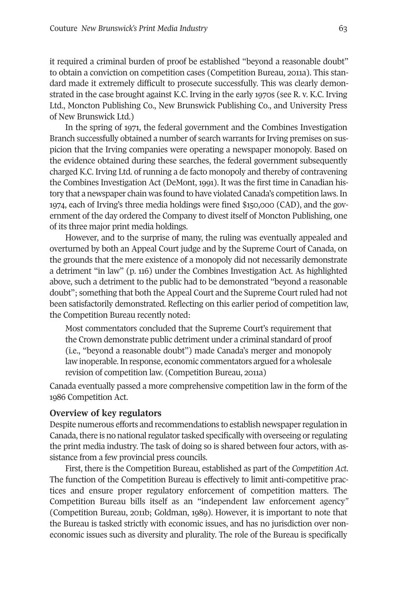it required a criminal burden of proof be established "beyond a reasonable doubt" to obtain a conviction on competition cases (Competition Bureau, 2011a). This standard made it extremely difficult to prosecute successfully. This was clearly demonstrated in the case brought against K.C. Irving in the early 1970s (see R. v. K.C. Irving Ltd., Moncton Publishing Co., New Brunswick Publishing Co., and University Press of New Brunswick Ltd.)

In the spring of 1971, the federal government and the Combines Investigation Branch successfully obtained a number of search warrants for Irving premises on suspicion that the Irving companies were operating a newspaper monopoly. Based on the evidence obtained during these searches, the federal government subsequently charged K.C. Irving Ltd. of running a de facto monopoly and thereby of contravening the Combines Investigation Act (DeMont, 1991). It was the first time in Canadian history that a newspaper chain was found to have violated Canada's competition laws.In 1974, each of Irving's three media holdings were fined \$150,000 (CAD), and the government of the day ordered the Company to divest itself of Moncton Publishing, one of its three major print media holdings.

However, and to the surprise of many, the ruling was eventually appealed and overturned by both an Appeal Court judge and by the Supreme Court of Canada, on the grounds that the mere existence of a monopoly did not necessarily demonstrate a detriment "in law" (p. 116) under the Combines Investigation Act. As highlighted above, such a detriment to the public had to be demonstrated "beyond a reasonable doubt"; something that both the Appeal Court and the Supreme Courtruled had not been satisfactorily demonstrated. Reflecting on this earlier period of competition law, the Competition Bureau recently noted:

Most commentators concluded that the Supreme Court's requirement that the Crown demonstrate public detriment under a criminal standard of proof (i.e., "beyond a reasonable doubt") made Canada's merger and monopoly law inoperable.In response, economic commentators argued for a wholesale revision of competition law. (Competition Bureau, 2011a)

Canada eventually passed a more comprehensive competition law in the form of the 1986 Competition Act.

## **Overview of key regulators**

Despite numerous efforts and recommendations to establish newspaper regulation in Canada, there is no national regulator tasked specifically with overseeing or regulating the print media industry. The task of doing so is shared between four actors, with assistance from a few provincial press councils.

First, there is the Competition Bureau, established as part of the *Competition Act*. The function of the Competition Bureau is effectively to limit anti-competitive practices and ensure proper regulatory enforcement of competition matters. The Competition Bureau bills itself as an "independent law enforcement agency*"* (Competition Bureau, 2011b; Goldman, 1989). However, it is important to note that the Bureau is tasked strictly with economic issues, and has no jurisdiction over noneconomic issues such as diversity and plurality. The role of the Bureau is specifically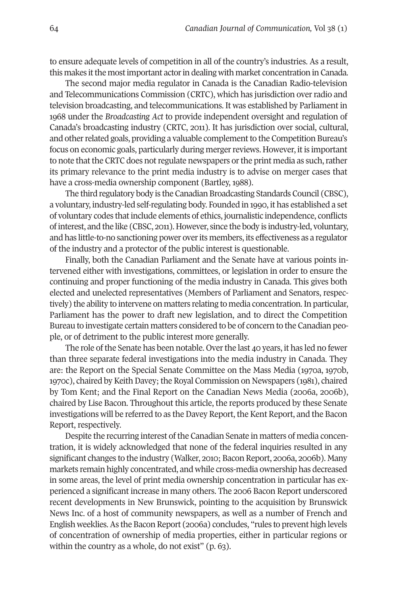to ensure adequate levels of competition in all of the country's industries. As a result, this makes it the most important actor in dealing with market concentration in Canada.

The second major media regulator in Canada is the Canadian Radio-television and Telecommunications Commission (CRTC), which has jurisdiction overradio and television broadcasting, and telecommunications. It was established by Parliament in 1968 under the *Broadcasting Act* to provide independent oversight and regulation of Canada's broadcasting industry (CRTC, 2011). It has jurisdiction over social, cultural, and other related goals, providing a valuable complement to the Competition Bureau's focus on economic goals, particularly during merger reviews. However, it is important to note that the CRTC does not regulate newspapers or the print media as such, rather its primary relevance to the print media industry is to advise on merger cases that have a cross-media ownership component (Bartley, 1988).

The third regulatory body is the Canadian Broadcasting Standards Council (CBSC), a voluntary, industry-led self-regulating body. Founded in 1990, it has established a set of voluntary codes thatinclude elements of ethics, journalistic independence, conflicts ofinterest, and the like (CBSC, 2011). However, since the body is industry-led, voluntary, and has little-to-no sanctioning power overits members, its effectiveness as a regulator of the industry and a protector of the public interest is questionable.

Finally, both the Canadian Parliament and the Senate have at various points intervened either with investigations, committees, or legislation in order to ensure the continuing and proper functioning of the media industry in Canada. This gives both elected and unelected representatives (Members of Parliament and Senators, respectively) the ability to intervene on matters relating to media concentration.In particular, Parliament has the power to draft new legislation, and to direct the Competition Bureau to investigate certain matters considered to be of concern to the Canadian people, or of detriment to the public interest more generally.

The role ofthe Senate has been notable. Overthe last 40 years, it has led no fewer than three separate federal investigations into the media industry in Canada. They are: the Report on the Special Senate Committee on the Mass Media (1970a, 1970b, 1970c), chaired by Keith Davey; the Royal Commission on Newspapers (1981), chaired by Tom Kent; and the Final Report on the Canadian News Media (2006a, 2006b), chaired by Lise Bacon. Throughout this article, the reports produced by these Senate investigations will be referred to as the Davey Report, the Kent Report, and the Bacon Report, respectively.

Despite the recurring interest of the Canadian Senate in matters of media concentration, it is widely acknowledged that none of the federal inquiries resulted in any significant changes to the industry (Walker, 2010; Bacon Report, 2006a, 2006b). Many markets remain highly concentrated, and while cross-media ownership has decreased in some areas, the level of print media ownership concentration in particular has experienced a significant increase in many others. The 2006 Bacon Report underscored recent developments in New Brunswick, pointing to the acquisition by Brunswick News Inc. of a host of community newspapers, as well as a number of French and English weeklies.As the BaconReport (2006a) concludes, "rules to prevent high levels of concentration of ownership of media properties, either in particular regions or within the country as a whole, do not exist" (p. 63).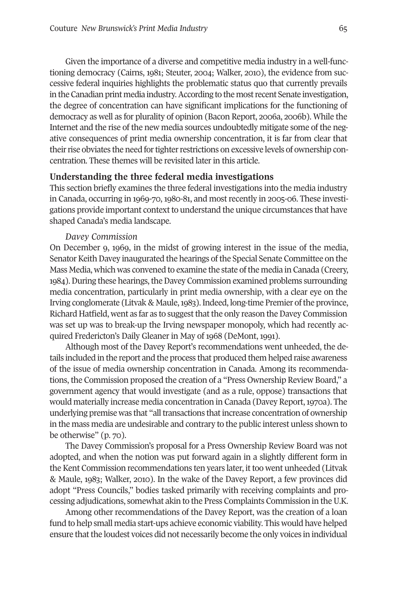Given the importance of a diverse and competitive media industry in a well-functioning democracy (Cairns, 1981; Steuter, 2004; Walker, 2010), the evidence from successive federal inquiries highlights the problematic status quo that currently prevails in the Canadian print media industry. According to the most recent Senate investigation, the degree of concentration can have significant implications for the functioning of democracy as well as for plurality of opinion (Bacon Report, 2006a, 2006b). While the Internet and the rise of the new media sources undoubtedly mitigate some of the negative consequences of print media ownership concentration, it is far from clear that their rise obviates the need for tighter restrictions on excessive levels of ownership concentration. These themes will be revisited later in this article.

## **Understanding the three federal media investigations**

This section briefly examines the three federal investigations into the media industry in Canada, occurring in 1969-70, 1980-81, and mostrecently in 2005-06. These investigations provide important context to understand the unique circumstances that have shaped Canada's media landscape.

#### *Davey Commission*

On December 9, 1969, in the midst of growing interest in the issue of the media, Senator Keith Davey inaugurated the hearings of the Special Senate Committee on the Mass Media, which was convened to examine the state of the media in Canada (Creery, 1984). During these hearings, the Davey Commission examined problems surrounding media concentration, particularly in print media ownership, with a clear eye on the Irving conglomerate (Litvak & Maule, 1983). Indeed, long-time Premier of the province, Richard Hatfield, went as far as to suggest that the only reason the Davey Commission was set up was to break-up the Irving newspaper monopoly, which had recently acquired Fredericton's Daily Gleaner in May of 1968 (DeMont, 1991).

Although most of the Davey Report's recommendations went unheeded, the details included in the report and the process that produced them helped raise awareness of the issue of media ownership concentration in Canada. Among its recommendations, the Commission proposed the creation of a "Press Ownership Review Board," a government agency that would investigate (and as a rule, oppose) transactions that would materially increase media concentration in Canada (Davey Report,1970a). The underlying premise was that "all transactions that increase concentration of ownership in the mass media are undesirable and contrary to the public interest unless shown to be otherwise" (p. 70).

The Davey Commission's proposal for a Press Ownership Review Board was not adopted, and when the notion was put forward again in a slightly different form in the Kent Commission recommendations ten years later, it too went unheeded (Litvak & Maule, 1983; Walker, 2010). In the wake of the Davey Report, a few provinces did adopt "Press Councils," bodies tasked primarily with receiving complaints and processing adjudications, somewhat akin to the Press Complaints Commission in the U.K.

Among other recommendations of the Davey Report, was the creation of a loan fund to help small media start-ups achieve economic viability. This would have helped ensure that the loudest voices did not necessarily become the only voices in individual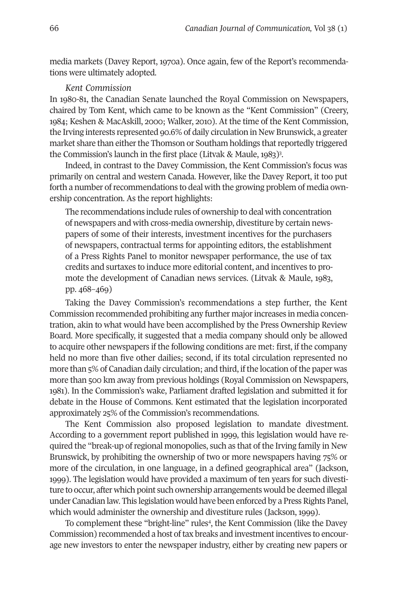media markets (Davey Report, 1970a). Once again, few of the Report's recommendations were ultimately adopted.

## *Kent Commission*

In 1980-81, the Canadian Senate launched the Royal Commission on Newspapers, chaired by Tom Kent, which came to be known as the "Kent Commission" (Creery, 1984; Keshen & MacAskill, 2000; Walker, 2010). At the time of the Kent Commission, the Irving interests represented 90.6% of daily circulation in New Brunswick, a greater market share than either the Thomson or Southam holdings that reportedly triggered the Commission's launch in the first place (Litvak & Maule, 1983)<sup>3</sup>.

Indeed, in contrast to the Davey Commission, the Kent Commission's focus was primarily on central and western Canada. However, like the Davey Report, it too put forth a number of recommendations to deal with the growing problem of media ownership concentration. As the report highlights:

The recommendations include rules of ownership to deal with concentration of newspapers and with cross-media ownership, divestiture by certain newspapers of some of their interests, investment incentives for the purchasers of newspapers, contractual terms for appointing editors, the establishment of a Press Rights Panel to monitor newspaper performance, the use of tax credits and surtaxes to induce more editorial content, and incentives to promote the development of Canadian news services. (Litvak & Maule, 1983, pp. 468–469)

Taking the Davey Commission's recommendations a step further, the Kent Commission recommended prohibiting any further majorincreases in media concentration, akin to what would have been accomplished by the Press Ownership Review Board. More specifically, it suggested that a media company should only be allowed to acquire other newspapers if the following conditions are met: first, if the company held no more than five other dailies; second, if its total circulation represented no more than  $5\%$  of Canadian daily circulation; and third, if the location of the paper was more than 500 km away from previous holdings (Royal Commission on Newspapers, 1981). In the Commission's wake, Parliament drafted legislation and submitted it for debate in the House of Commons. Kent estimated that the legislation incorporated approximately 25% of the Commission's recommendations.

The Kent Commission also proposed legislation to mandate divestment. According to a government report published in 1999, this legislation would have required the "break-up ofregional monopolies, such as that of the Irving family in New Brunswick, by prohibiting the ownership of two or more newspapers having 75% or more of the circulation, in one language, in a defined geographical area" (Jackson, 1999). The legislation would have provided a maximum of ten years for such divestiture to occur, after which point such ownership arrangements would be deemed illegal under Canadian law. This legislation would have been enforced by a Press Rights Panel, which would administer the ownership and divestiture rules (Jackson, 1999).

To complement these "bright-line" rules<sup>4</sup>, the Kent Commission (like the Davey Commission) recommended a host oftax breaks and investmentincentives to encourage new investors to enter the newspaper industry, either by creating new papers or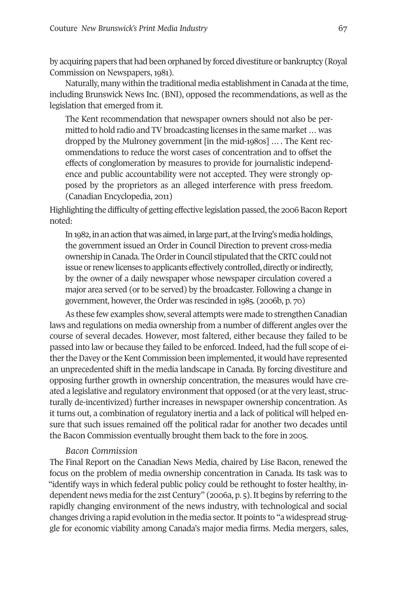by acquiring papers that had been orphaned by forced divestiture or bankruptcy (Royal Commission on Newspapers, 1981).

Naturally, many within the traditional media establishment in Canada at the time, including Brunswick News Inc. (BNI), opposed the recommendations, as well as the legislation that emerged from it.

The Kent recommendation that newspaper owners should not also be permitted to hold radio and TV broadcasting licenses in the same market ... was dropped by the Mulroney government [in the mid-1980s] …. The Kent recommendations to reduce the worst cases of concentration and to offset the effects of conglomeration by measures to provide for journalistic independence and public accountability were not accepted. They were strongly opposed by the proprietors as an alleged interference with press freedom. (Canadian Encyclopedia, 2011)

Highlighting the difficulty of getting effective legislation passed, the 2006 Bacon Report noted:

In 1982, in an action that was aimed, in large part, at the Irving's media holdings, the government issued an Order in Council Direction to prevent cross-media ownership in Canada. The Order in Council stipulated that the CRTC could not issue or renew licenses to applicants effectively controlled, directly or indirectly, by the owner of a daily newspaper whose newspaper circulation covered a major area served (or to be served) by the broadcaster. Following a change in government, however, the Order was rescinded in 1985. (2006b, p. 70)

As these few examples show, several attempts were made to strengthen Canadian laws and regulations on media ownership from a number of different angles over the course of several decades. However, most faltered, either because they failed to be passed into law or because they failed to be enforced. Indeed, had the full scope of either the Davey or the Kent Commission been implemented, it would have represented an unprecedented shift in the media landscape in Canada. By forcing divestiture and opposing further growth in ownership concentration, the measures would have created a legislative and regulatory environment that opposed (or at the very least, structurally de-incentivized) further increases in newspaper ownership concentration. As it turns out, a combination of regulatory inertia and a lack of political will helped ensure that such issues remained off the political radar for another two decades until the Bacon Commission eventually brought them back to the fore in 2005.

## *Bacon Commission*

The Final Report on the Canadian News Media, chaired by Lise Bacon, renewed the focus on the problem of media ownership concentration in Canada. Its task was to "identify ways in which federal public policy could be rethought to foster healthy, independent news media for the 21st Century" (2006a, p. 5). It begins by referring to the rapidly changing environment of the news industry, with technological and social changes driving a rapid evolution in the media sector.It points to "a widespread struggle for economic viability among Canada's major media firms. Media mergers, sales,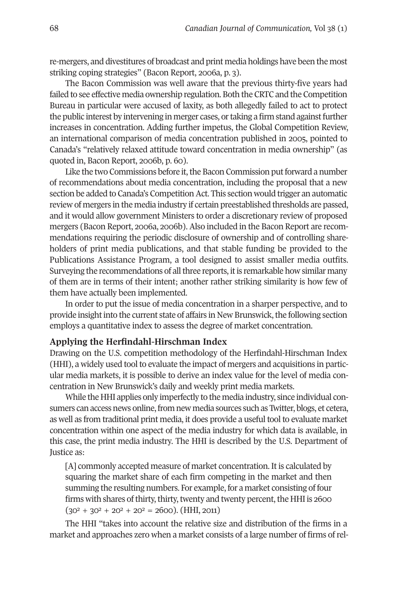re-mergers, and divestitures of broadcast and print media holdings have been the most striking coping strategies" (Bacon Report, 2006a, p. 3).

The Bacon Commission was well aware that the previous thirty-five years had failed to see effective media ownership regulation. Both the CRTC and the Competition Bureau in particular were accused of laxity, as both allegedly failed to act to protect the public interest by intervening in merger cases, or taking a firm stand against further increases in concentration. Adding further impetus, the Global Competition Review, an international comparison of media concentration published in 2005, pointed to Canada's "relatively relaxed attitude toward concentration in media ownership" (as quoted in, Bacon Report, 2006b, p. 60).

Like the two Commissions before it, the Bacon Commission put forward a number of recommendations about media concentration, including the proposal that a new section be added to Canada's Competition Act. This section would trigger an automatic review of mergers in the media industry if certain preestablished thresholds are passed, and it would allow government Ministers to order a discretionary review of proposed mergers (Bacon Report, 2006a, 2006b). Also included in the Bacon Report are recommendations requiring the periodic disclosure of ownership and of controlling shareholders of print media publications, and that stable funding be provided to the Publications Assistance Program, a tool designed to assist smaller media outfits. Surveying the recommendations of all three reports, it is remarkable how similar many of them are in terms of their intent; another rather striking similarity is how few of them have actually been implemented.

In order to put the issue of media concentration in a sharper perspective, and to provide insight into the current state of affairs in New Brunswick, the following section employs a quantitative index to assess the degree of market concentration.

## **Applying the Herfindahl-Hirschman Index**

Drawing on the U.S. competition methodology of the Herfindahl-Hirschman Index (HHI), a widely used tool to evaluate the impact of mergers and acquisitions in particular media markets, it is possible to derive an index value for the level of media concentration in New Brunswick's daily and weekly print media markets.

While the HHI applies only imperfectly to the media industry, since individual consumers can access news online,from new media sources such as Twitter, blogs, et cetera, as well as from traditional print media, it does provide a useful tool to evaluate market concentration within one aspect of the media industry for which data is available, in this case, the print media industry. The HHI is described by the U.S. Department of Justice as:

[A] commonly accepted measure of market concentration. It is calculated by squaring the market share of each firm competing in the market and then summing the resulting numbers. For example, for a market consisting of four firms with shares of thirty, thirty, twenty and twenty percent, the HHI is 2600  $(30^2 + 30^2 + 20^2 + 20^2 = 2600)$ . (HHI, 2011)

The HHI "takes into account the relative size and distribution of the firms in a market and approaches zero when a market consists of a large number of firms ofrel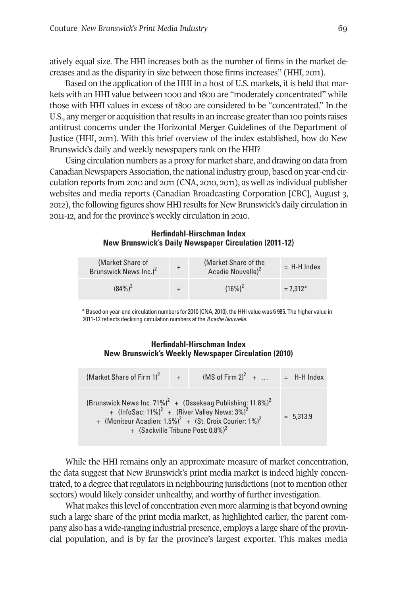atively equal size. The HHI increases both as the number of firms in the market decreases and as the disparity in size between those firms increases" (HHI, 2011).

Based on the application of the HHI in a host of U.S. markets, it is held that markets with an HHI value between 1000 and 1800 are "moderately concentrated" while those with HHI values in excess of 1800 are considered to be "concentrated." In the U.S., any merger or acquisition that results in an increase greater than 100 points raises antitrust concerns under the Horizontal Merger Guidelines of the Department of Justice (HHI, 2011). With this brief overview of the index established, how do New Brunswick's daily and weekly newspapers rank on the HHI?

Using circulation numbers as a proxy for market share, and drawing on data from Canadian Newspapers Association, the national industry group, based on year-end circulation reports from 2010 and 2011 (CNA, 2010, 2011), as well as individual publisher websites and media reports (Canadian Broadcasting Corporation [CBC], August 3, 2012), the following figures show HHIresults for New Brunswick's daily circulation in 2011-12, and for the province's weekly circulation in 2010.

#### **Herfindahl-Hirschman Index New Brunswick's Daily Newspaper Circulation (2011-12)**

| (Market Share of<br>Brunswick News Inc.) <sup>2</sup> | (Market Share of the<br>Acadie Nouvelle) <sup>2</sup> | $=$ H-H Index |
|-------------------------------------------------------|-------------------------------------------------------|---------------|
| $(84\%)^2$                                            | $(16\%)^2$                                            | $= 7.312*$    |

\*Based on year-end circulation numbers for 2010 (CNA, 2010), theHHI value was 6 985. The higher value in 2011-12 reflects declining circulation numbers at the *Acadie Nouvelle*.

## **Herfindahl-Hirschman Index New Brunswick's Weekly Newspaper Circulation (2010)**

| (Market Share of Firm $1)^2$ +                                                                                                                                                                                                                                                        |  | $(MS \text{ of Firm } 2)^2 + $ |  | $=$ H-H Index |
|---------------------------------------------------------------------------------------------------------------------------------------------------------------------------------------------------------------------------------------------------------------------------------------|--|--------------------------------|--|---------------|
| (Brunswick News Inc. 71%) <sup>2</sup> + (Ossekeag Publishing: 11.8%) <sup>2</sup><br>+ $(InfoSac: 11\%)^2$ + $(River Valley News: 3\%)^2$<br>+ (Moniteur Acadien: $1.5\%$ ) <sup>2</sup> + (St. Croix Courier: $1\%$ ) <sup>2</sup><br>+ (Sackville Tribune Post: 0.8%) <sup>2</sup> |  |                                |  | $= 5.313.9$   |

While the HHI remains only an approximate measure of market concentration, the data suggest that New Brunswick's print media market is indeed highly concentrated, to a degree that regulators in neighbouring jurisdictions (not to mention other sectors) would likely consider unhealthy, and worthy of further investigation.

What makes this level of concentration even more alarming is that beyond owning such a large share of the print media market, as highlighted earlier, the parent company also has a wide-ranging industrial presence, employs a large share of the provincial population, and is by far the province's largest exporter. This makes media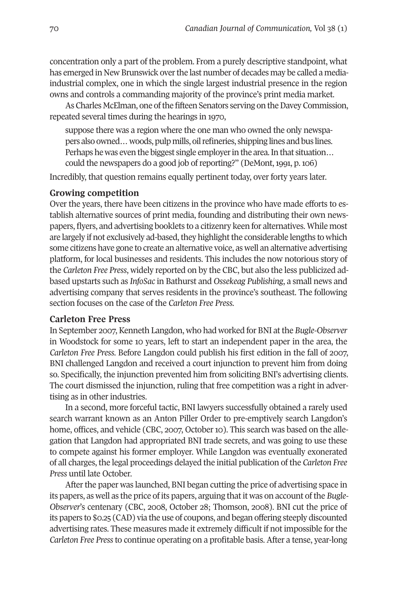concentration only a part of the problem. From a purely descriptive standpoint, what has emerged in New Brunswick overthe last number of decades may be called a mediaindustrial complex, one in which the single largest industrial presence in the region owns and controls a commanding majority of the province's print media market.

As Charles McElman, one of the fifteen Senators serving on the Davey Commission, repeated several times during the hearings in 1970,

suppose there was a region where the one man who owned the only newspapers also owned…woods,pulpmills, oilrefineries, shipping lines and bus lines. Perhaps he was even the biggest single employer in the area. In that situation... could the newspapers do a good job of reporting?" (DeMont, 1991, p. 106)

Incredibly, that question remains equally pertinent today, over forty years later.

## **Growing competition**

Over the years, there have been citizens in the province who have made efforts to establish alternative sources of print media, founding and distributing their own newspapers, flyers, and advertising booklets to a citizenry keen for alternatives. While most are largely if not exclusively ad-based, they highlight the considerable lengths to which some citizens have gone to create an alternative voice, as well an alternative advertising platform, for local businesses and residents. This includes the now notorious story of the *Carleton Free Press*, widely reported on by the CBC, but also the less publicized adbased upstarts such as *InfoSac* in Bathurst and *Ossekeag Publishing*, a small news and advertising company that serves residents in the province's southeast. The following section focuses on the case of the *Carleton Free Press*.

## **Carleton Free Press**

In September 2007, Kenneth Langdon, who had worked for BNI atthe *Bugle-Observer* in Woodstock for some 10 years, left to start an independent paper in the area, the *Carleton Free Press*. Before Langdon could publish his first edition in the fall of 2007, BNI challenged Langdon and received a court injunction to prevent him from doing so. Specifically, the injunction prevented him from soliciting BNI's advertising clients. The court dismissed the injunction, ruling that free competition was a right in advertising as in other industries.

In a second, more forceful tactic, BNI lawyers successfully obtained a rarely used search warrant known as an Anton Piller Order to pre-emptively search Langdon's home, offices, and vehicle (CBC, 2007, October 10). This search was based on the allegation that Langdon had appropriated BNI trade secrets, and was going to use these to compete against his former employer. While Langdon was eventually exonerated of all charges, the legal proceedings delayed the initial publication of the *Carleton Free Press* until late October.

After the paper was launched, BNI began cutting the price of advertising space in its papers, as well as the price of its papers, arguing thatit was on account ofthe *Bugle-Observer*'s centenary (CBC, 2008, October 28; Thomson, 2008). BNI cut the price of its papers to \$0.25 (CAD) via the use of coupons, and began offering steeply discounted advertising rates. These measures made it extremely difficult if not impossible forthe *Carleton Free Press*to continue operating on a profitable basis. After a tense, year-long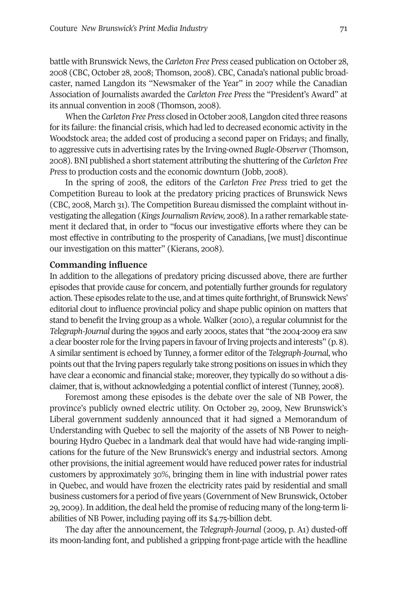battle with Brunswick News, the *Carleton Free Press* ceased publication on October 28, 2008 (CBC, October 28, 2008; Thomson, 2008). CBC, Canada's national public broadcaster, named Langdon its "Newsmaker of the Year" in 2007 while the Canadian Association of Journalists awarded the *Carleton Free Press* the "President's Award" at its annual convention in 2008 (Thomson, 2008).

When the *Carleton Free Press* closed in October 2008, Langdon cited three reasons for its failure: the financial crisis, which had led to decreased economic activity in the Woodstock area; the added cost of producing a second paper on Fridays; and finally, to aggressive cuts in advertising rates by the Irving-owned *Bugle-Observer* (Thomson, 2008). BNI published a short statement attributing the shuttering of the *Carleton Free Press* to production costs and the economic downturn (Jobb, 2008).

In the spring of 2008, the editors of the *Carleton Free Press* tried to get the Competition Bureau to look at the predatory pricing practices of Brunswick News (CBC, 2008, March 31). The Competition Bureau dismissed the complaint without investigating the allegation (*Kings Journalism Review, 2008*). In a rather remarkable statement it declared that, in order to "focus our investigative efforts where they can be most effective in contributing to the prosperity of Canadians, [we must] discontinue our investigation on this matter" (Kierans, 2008).

## **Commanding influence**

In addition to the allegations of predatory pricing discussed above, there are further episodes that provide cause for concern, and potentially further grounds for regulatory action. These episodes relate to the use, and at times quite forthright, of Brunswick News' editorial clout to influence provincial policy and shape public opinion on matters that stand to benefit the Irving group as a whole. Walker (2010), a regular columnist forthe *Telegraph-Journal* during the 1990s and early 2000s, states that "the 2004-2009 era saw a clear booster role for the Irving papers in favour of Irving projects and interests" (p. 8). A similar sentiment is echoed by Tunney, a former editor of the *Telegraph-Journal*, who points out that the Irving papers regularly take strong positions on issues in which they have clear a economic and financial stake; moreover, they typically do so without a disclaimer, that is, without acknowledging a potential conflict of interest (Tunney, 2008).

Foremost among these episodes is the debate over the sale of NB Power, the province's publicly owned electric utility. On October 29, 2009, New Brunswick's Liberal government suddenly announced that it had signed a Memorandum of Understanding with Quebec to sell the majority of the assets of NB Power to neighbouring Hydro Quebec in a landmark deal that would have had wide-ranging implications for the future of the New Brunswick's energy and industrial sectors. Among other provisions, the initial agreement would have reduced power rates for industrial customers by approximately 30%, bringing them in line with industrial power rates in Quebec, and would have frozen the electricity rates paid by residential and small business customers for a period of five years (Government of New Brunswick, October 29, 2009). In addition, the deal held the promise ofreducing many of the long-term liabilities of NB Power, including paying off its \$4.75-billion debt.

The day after the announcement, the *Telegraph-Journal* (2009, p. A1) dusted-off its moon-landing font, and published a gripping front-page article with the headline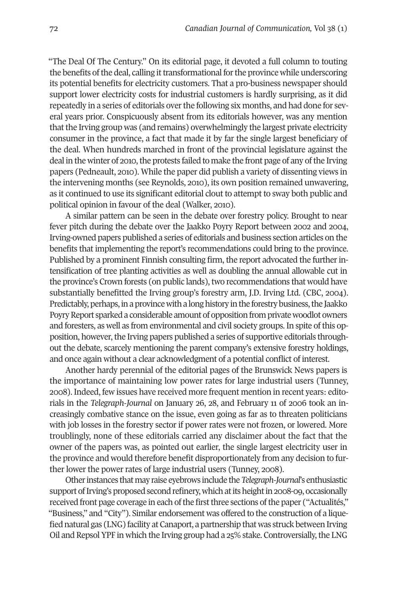"The Deal Of The Century." On its editorial page, it devoted a full column to touting the benefits of the deal, calling it transformational for the province while underscoring its potential benefits for electricity customers. That a pro-business newspaper should support lower electricity costs for industrial customers is hardly surprising, as it did repeatedly in a series of editorials overthe following six months, and had done for several years prior. Conspicuously absent from its editorials however, was any mention that the Irving group was (and remains) overwhelmingly the largest private electricity consumer in the province, a fact that made it by far the single largest beneficiary of the deal. When hundreds marched in front of the provincial legislature against the deal in the winter of 2010, the protests failed to make the front page of any of the Irving papers (Pedneault, 2010). While the paper did publish a variety of dissenting views in the intervening months (see Reynolds, 2010), its own position remained unwavering, as it continued to use its significant editorial clout to attempt to sway both public and political opinion in favour of the deal (Walker, 2010).

A similar pattern can be seen in the debate over forestry policy. Brought to near fever pitch during the debate over the Jaakko Poyry Report between 2002 and 2004, Irving-owned papers published a series of editorials and business section articles on the benefits that implementing the report's recommendations could bring to the province. Published by a prominent Finnish consulting firm, the report advocated the further intensification of tree planting activities as well as doubling the annual allowable cut in the province's Crown forests (on public lands), two recommendations that would have substantially benefitted the Irving group's forestry arm, J.D. Irving Ltd. (CBC, 2004). Predictably, perhaps, in a province with a long history in the forestry business, the Jaakko Poyry Report sparked a considerable amount of opposition from private woodlot owners and foresters, as well as from environmental and civil society groups. In spite of this opposition, however, the Irving papers published a series of supportive editorials throughout the debate, scarcely mentioning the parent company's extensive forestry holdings, and once again without a clear acknowledgment of a potential conflict of interest.

Another hardy perennial of the editorial pages of the Brunswick News papers is the importance of maintaining low power rates for large industrial users (Tunney, 2008). Indeed, few issues have received more frequent mention in recent years: editorials in the *Telegraph-Journal* on January 26, 28, and February 11 of 2006 took an increasingly combative stance on the issue, even going as far as to threaten politicians with job losses in the forestry sector if power rates were not frozen, or lowered. More troublingly, none of these editorials carried any disclaimer about the fact that the owner of the papers was, as pointed out earlier, the single largest electricity user in the province and would therefore benefit disproportionately from any decision to further lower the power rates of large industrial users (Tunney, 2008).

Other instances that may raise eyebrows include the *Telegraph-Journal's* enthusiastic support of Irving's proposed second refinery, which at its height in 2008-09, occasionally received front page coverage in each of the first three sections of the paper ("Actualités," "Business," and "City"). Similar endorsement was offered to the construction of a liquefied natural gas (LNG) facility at Canaport, a partnership that was struck between Irving Oil and Repsol YPF in which the Irving group had a 25% stake. Controversially, the LNG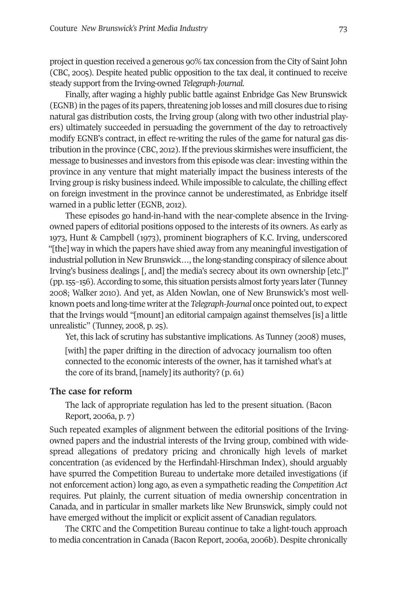project in question received a generous 90% tax concession from the City of Saint John (CBC, 2005). Despite heated public opposition to the tax deal, it continued to receive steady support from the Irving-owned *Telegraph-Journal*.

Finally, after waging a highly public battle against Enbridge Gas New Brunswick (EGNB) in the pages of its papers, threatening job losses and mill closures due to rising natural gas distribution costs, the Irving group (along with two other industrial players) ultimately succeeded in persuading the government of the day to retroactively modify EGNB's contract, in effect re-writing the rules of the game for natural gas distribution in the province (CBC, 2012). If the previous skirmishes were insufficient, the message to businesses and investors from this episode was clear: investing within the province in any venture that might materially impact the business interests of the Irving group is risky business indeed. While impossible to calculate, the chilling effect on foreign investment in the province cannot be underestimated, as Enbridge itself warned in a public letter (EGNB, 2012).

These episodes go hand-in-hand with the near-complete absence in the Irvingowned papers of editorial positions opposed to the interests of its owners. As early as 1973, Hunt & Campbell (1973), prominent biographers of K.C. Irving, underscored "[the] way in which the papers have shied away from any meaningful investigation of industrial pollution in New Brunswick..., the long-standing conspiracy of silence about Irving's business dealings [, and] the media's secrecy about its own ownership [etc.]" (pp. 155–156). According to some, this situation persists almost forty years later (Tunney 2008; Walker 2010). And yet, as Alden Nowlan, one of New Brunswick's most wellknown poets and long-time writer at the *Telegraph-Journal* once pointed out, to expect that the Irvings would "[mount] an editorial campaign against themselves [is] a little unrealistic" (Tunney, 2008, p. 25).

Yet, this lack of scrutiny has substantive implications. As Tunney (2008) muses, [with] the paper drifting in the direction of advocacy journalism too often

connected to the economic interests of the owner, has it tarnished what's at the core of its brand, [namely] its authority? (p. 61)

## **The case for reform**

The lack of appropriate regulation has led to the present situation. (Bacon Report, 2006a, p. 7)

Such repeated examples of alignment between the editorial positions of the Irvingowned papers and the industrial interests of the Irving group, combined with widespread allegations of predatory pricing and chronically high levels of market concentration (as evidenced by the Herfindahl-Hirschman Index), should arguably have spurred the Competition Bureau to undertake more detailed investigations (if not enforcement action) long ago, as even a sympathetic reading the *Competition Act* requires. Put plainly, the current situation of media ownership concentration in Canada, and in particular in smaller markets like New Brunswick, simply could not have emerged without the implicit or explicit assent of Canadian regulators.

The CRTC and the Competition Bureau continue to take a light-touch approach to media concentration in Canada (Bacon Report, 2006a, 2006b). Despite chronically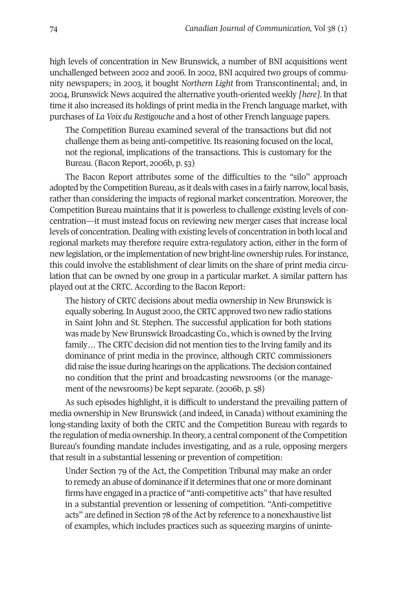high levels of concentration in New Brunswick, a number of BNI acquisitions went unchallenged between 2002 and 2006. In 2002, BNI acquired two groups of community newspapers; in 2003, it bought *Northern Light* from Transcontinental; and, in 2004, Brunswick News acquired the alternative youth-oriented weekly *[here]*. In that time it also increased its holdings of print media in the French language market, with purchases of *La Voix du Restigouche* and a host of other French language papers.

The Competition Bureau examined several of the transactions but did not challenge them as being anti-competitive. Its reasoning focused on the local, not the regional, implications of the transactions. This is customary for the Bureau. (Bacon Report, 2006b, p. 53)

The Bacon Report attributes some of the difficulties to the "silo" approach adopted by the Competition Bureau, as it deals with cases in a fairly narrow, local basis, rather than considering the impacts of regional market concentration. Moreover, the Competition Bureau maintains that it is powerless to challenge existing levels of concentration—it must instead focus on reviewing new merger cases that increase local levels of concentration. Dealing with existing levels of concentration in both local and regional markets may therefore require extra-regulatory action, either in the form of new legislation, orthe implementation of new bright-line ownership rules. Forinstance, this could involve the establishment of clear limits on the share of print media circulation that can be owned by one group in a particular market. A similar pattern has played out at the CRTC. According to the Bacon Report:

The history of CRTC decisions about media ownership in New Brunswick is equally sobering. In August 2000, the CRTC approved two new radio stations in Saint John and St. Stephen. The successful application for both stations was made by New Brunswick Broadcasting Co., which is owned by the Irving family… The CRTC decision did not mention ties to the Irving family and its dominance of print media in the province, although CRTC commissioners did raise the issue during hearings on the applications. The decision contained no condition that the print and broadcasting newsrooms (or the management of the newsrooms) be kept separate. (2006b, p. 58)

As such episodes highlight, it is difficult to understand the prevailing pattern of media ownership in New Brunswick (and indeed, in Canada) without examining the long-standing laxity of both the CRTC and the Competition Bureau with regards to the regulation of media ownership. In theory, a central component of the Competition Bureau's founding mandate includes investigating, and as a rule, opposing mergers that result in a substantial lessening or prevention of competition:

Under Section 79 of the Act, the Competition Tribunal may make an order to remedy an abuse of dominance if it determines that one or more dominant firms have engaged in a practice of "anti-competitive acts" that have resulted in a substantial prevention or lessening of competition. "Anti-competitive acts" are defined in Section 78 of the Act by reference to a nonexhaustive list of examples, which includes practices such as squeezing margins of uninte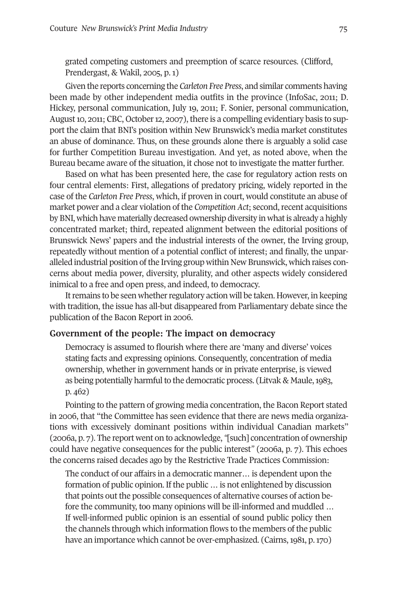grated competing customers and preemption of scarce resources. (Clifford, Prendergast, & Wakil, 2005, p. 1)

Given the reports concerning the *Carleton Free Press*, and similar comments having been made by other independent media outfits in the province (InfoSac, 2011; D. Hickey, personal communication, July 19, 2011; F. Sonier, personal communication, August 10, 2011; CBC, October 12, 2007), there is a compelling evidentiary basis to support the claim that BNI's position within New Brunswick's media market constitutes an abuse of dominance. Thus, on these grounds alone there is arguably a solid case for further Competition Bureau investigation. And yet, as noted above, when the Bureau became aware of the situation, it chose not to investigate the matter further.

Based on what has been presented here, the case for regulatory action rests on four central elements: First, allegations of predatory pricing, widely reported in the case of the *Carleton Free Press*, which, if proven in court, would constitute an abuse of market power and a clear violation of the *Competition Act*; second, recent acquisitions by BNI, which have materially decreased ownership diversity in what is already a highly concentrated market; third, repeated alignment between the editorial positions of Brunswick News' papers and the industrial interests of the owner, the Irving group, repeatedly without mention of a potential conflict of interest; and finally, the unparalleled industrial position of the Irving group within New Brunswick, which raises concerns about media power, diversity, plurality, and other aspects widely considered inimical to a free and open press, and indeed, to democracy.

It remains to be seen whether regulatory action will be taken. However, in keeping with tradition, the issue has all-but disappeared from Parliamentary debate since the publication of the Bacon Report in 2006.

## **Government of the people: The impact on democracy**

Democracy is assumed to flourish where there are 'many and diverse' voices stating facts and expressing opinions. Consequently, concentration of media ownership, whether in government hands or in private enterprise, is viewed as being potentially harmful to the democratic process. (Litvak & Maule, 1983, p. 462)

Pointing to the pattern of growing media concentration, the Bacon Report stated in 2006, that "the Committee has seen evidence that there are news media organizations with excessively dominant positions within individual Canadian markets" (2006a, p. 7). The report went on to acknowledge, *"*[such] concentration of ownership could have negative consequences for the public interest*"* (2006a, p. 7). This echoes the concerns raised decades ago by the Restrictive Trade Practices Commission:

The conduct of our affairs in a democratic manner… is dependent upon the formation of public opinion. If the public … is not enlightened by discussion that points out the possible consequences of alternative courses of action before the community, too many opinions will be ill-informed and muddled … If well-informed public opinion is an essential of sound public policy then the channels through which information flows to the members of the public have an importance which cannot be over-emphasized. (Cairns, 1981, p. 170)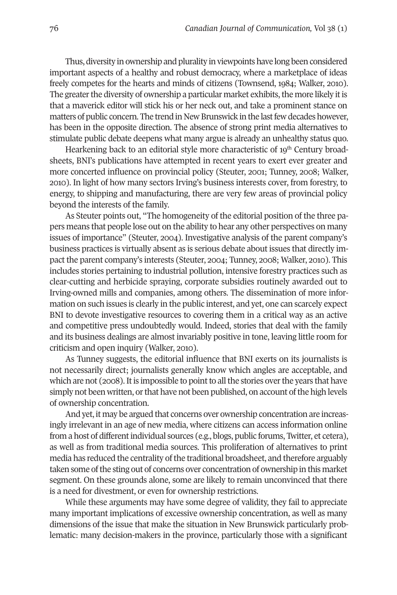Thus, diversity in ownership and plurality in viewpoints have long been considered important aspects of a healthy and robust democracy, where a marketplace of ideas freely competes for the hearts and minds of citizens (Townsend, 1984; Walker, 2010). The greater the diversity of ownership a particular market exhibits, the more likely it is that a maverick editor will stick his or her neck out, and take a prominent stance on matters of public concern. The trend in New Brunswick in the last few decades however, has been in the opposite direction. The absence of strong print media alternatives to stimulate public debate deepens what many argue is already an unhealthy status quo.

Hearkening back to an editorial style more characteristic of  $19<sup>th</sup>$  Century broadsheets, BNI's publications have attempted in recent years to exert ever greater and more concerted influence on provincial policy (Steuter, 2001; Tunney, 2008; Walker, 2010). In light of how many sectors Irving's business interests cover, from forestry, to energy, to shipping and manufacturing, there are very few areas of provincial policy beyond the interests of the family.

As Steuter points out, "The homogeneity of the editorial position of the three papers means that people lose out on the ability to hear any other perspectives on many issues of importance" (Steuter, 2004). Investigative analysis of the parent company's business practices is virtually absent as is serious debate about issues that directly impact the parent company's interests (Steuter, 2004; Tunney, 2008; Walker, 2010). This includes stories pertaining to industrial pollution, intensive forestry practices such as clear-cutting and herbicide spraying, corporate subsidies routinely awarded out to Irving-owned mills and companies, among others. The dissemination of more information on such issues is clearly in the public interest, and yet, one can scarcely expect BNI to devote investigative resources to covering them in a critical way as an active and competitive press undoubtedly would. Indeed, stories that deal with the family and its business dealings are almost invariably positive in tone, leaving little room for criticism and open inquiry (Walker, 2010).

As Tunney suggests, the editorial influence that BNI exerts on its journalists is not necessarily direct; journalists generally know which angles are acceptable, and which are not (2008). It is impossible to point to all the stories over the years that have simply not been written, or that have not been published, on account of the high levels of ownership concentration.

And yet, it may be argued that concerns over ownership concentration are increasingly irrelevant in an age of new media, where citizens can access information online from a host of different individual sources (e.g., blogs, public forums, Twitter, et cetera), as well as from traditional media sources. This proliferation of alternatives to print media has reduced the centrality of the traditional broadsheet, and therefore arguably taken some of the sting out of concerns over concentration of ownership in this market segment. On these grounds alone, some are likely to remain unconvinced that there is a need for divestment, or even for ownership restrictions.

While these arguments may have some degree of validity, they fail to appreciate many important implications of excessive ownership concentration, as well as many dimensions of the issue that make the situation in New Brunswick particularly problematic: many decision-makers in the province, particularly those with a significant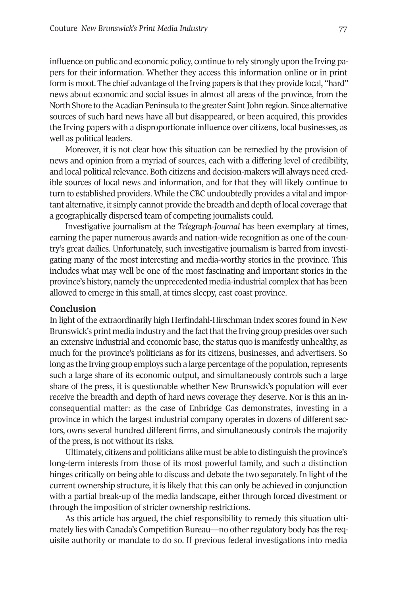influence on public and economic policy, continue to rely strongly upon the Irving papers for their information. Whether they access this information online or in print form is moot. The chief advantage of the Irving papers is that they provide local, "hard" news about economic and social issues in almost all areas of the province, from the North Shore to the Acadian Peninsula to the greater Saint John region. Since alternative sources of such hard news have all but disappeared, or been acquired, this provides the Irving papers with a disproportionate influence over citizens, local businesses, as well as political leaders.

Moreover, it is not clear how this situation can be remedied by the provision of news and opinion from a myriad of sources, each with a differing level of credibility, and local political relevance. Both citizens and decision-makers will always need credible sources of local news and information, and for that they will likely continue to turn to established providers. While the CBC undoubtedly provides a vital and important alternative, it simply cannot provide the breadth and depth of local coverage that a geographically dispersed team of competing journalists could.

Investigative journalism at the *Telegraph-Journal* has been exemplary at times, earning the paper numerous awards and nation-wide recognition as one of the country's great dailies. Unfortunately, such investigative journalism is barred from investigating many of the most interesting and media-worthy stories in the province. This includes what may well be one of the most fascinating and important stories in the province's history, namely the unprecedented media-industrial complex that has been allowed to emerge in this small, at times sleepy, east coast province.

## **Conclusion**

In light of the extraordinarily high Herfindahl-Hirschman Index scores found in New Brunswick's print media industry and the fact that the Irving group presides over such an extensive industrial and economic base, the status quo is manifestly unhealthy, as much for the province's politicians as for its citizens, businesses, and advertisers. So long as the Irving group employs such a large percentage of the population, represents such a large share of its economic output, and simultaneously controls such a large share of the press, it is questionable whether New Brunswick's population will ever receive the breadth and depth of hard news coverage they deserve. Nor is this an inconsequential matter: as the case of Enbridge Gas demonstrates, investing in a province in which the largest industrial company operates in dozens of different sectors, owns several hundred different firms, and simultaneously controls the majority of the press, is not without its risks.

Ultimately, citizens and politicians alike must be able to distinguish the province's long-term interests from those of its most powerful family, and such a distinction hinges critically on being able to discuss and debate the two separately. In light of the current ownership structure, it is likely that this can only be achieved in conjunction with a partial break-up of the media landscape, either through forced divestment or through the imposition of stricter ownership restrictions.

As this article has argued, the chief responsibility to remedy this situation ultimately lies with Canada's Competition Bureau—no otherregulatory body has the requisite authority or mandate to do so. If previous federal investigations into media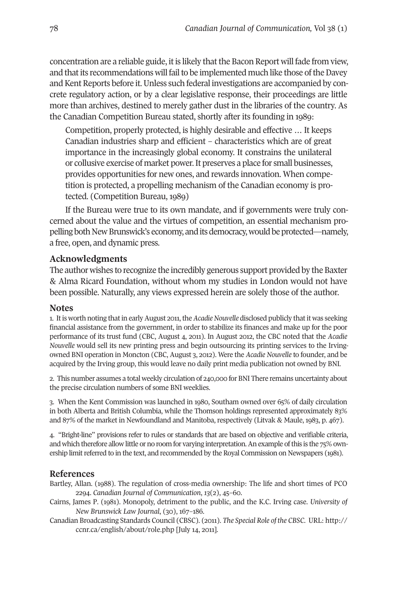concentration are a reliable guide, it is likely that the Bacon Report will fade from view, and that its recommendations will fail to be implemented much like those of the Davey and Kent Reports before it. Unless such federal investigations are accompanied by concrete regulatory action, or by a clear legislative response, their proceedings are little more than archives, destined to merely gather dust in the libraries of the country. As the Canadian Competition Bureau stated, shortly after its founding in 1989:

Competition, properly protected, is highly desirable and effective … It keeps Canadian industries sharp and efficient – characteristics which are of great importance in the increasingly global economy. It constrains the unilateral or collusive exercise of market power.It preserves a place for small businesses, provides opportunities for new ones, and rewards innovation. When competition is protected, a propelling mechanism of the Canadian economy is protected. (Competition Bureau, 1989)

If the Bureau were true to its own mandate, and if governments were truly concerned about the value and the virtues of competition, an essential mechanism propelling both New Brunswick's economy, and its democracy, would be protected—namely, a free, open, and dynamic press.

## **Acknowledgments**

The author wishes to recognize the incredibly generous support provided by the Baxter & Alma Ricard Foundation, without whom my studies in London would not have been possible. Naturally, any views expressed herein are solely those of the author.

#### **Notes**

1. It is worth noting that in early August 2011, the Acadie Nouvelle disclosed publicly that it was seeking financial assistance from the government, in order to stabilize its finances and make up for the poor performance of its trust fund (CBC, August 4, 2011). In August 2012, the CBC noted that the *Acadie Nouvelle* would sell its new printing press and begin outsourcing its printing services to the Irvingowned BNI operation in Moncton (CBC, August 3, 2012). Were the *Acadie Nouvelle* to founder, and be acquired by the Irving group, this would leave no daily print media publication not owned by BNI.

2. This number assumes a total weekly circulation of 240,000 for BNI There remains uncertainty about the precise circulation numbers of some BNI weeklies.

3. When the Kent Commission was launched in 1980, Southam owned over 65% of daily circulation in both Alberta and British Columbia, while the Thomson holdings represented approximately 83% and 87% of the market in Newfoundland and Manitoba, respectively (Litvak & Maule, 1983, p. 467).

4. "Bright-line" provisions refer to rules or standards that are based on objective and verifiable criteria, and which therefore allow little or no room for varying interpretation. An example of this is the 75% ownership limit referred to in the text, and recommended by the Royal Commission on Newspapers (1981).

#### **References**

- Bartley, Allan. (1988). The regulation of cross-media ownership: The life and short times of PCO 2294. *Canadian Journal of Communication*, *13*(2), 45–60.
- Cairns, James P. (1981). Monopoly, detriment to the public, and the K.C. Irving case. *University of New Brunswick Law Journal*, (30), 167–186.
- Canadian Broadcasting Standards Council (CBSC). (2011). *The Special Role of the CBSC*. URL: [http://](http://ccnr.ca/english/about/role.php) [ccnr.ca/english/about/role.php](http://ccnr.ca/english/about/role.php) [July 14, 2011].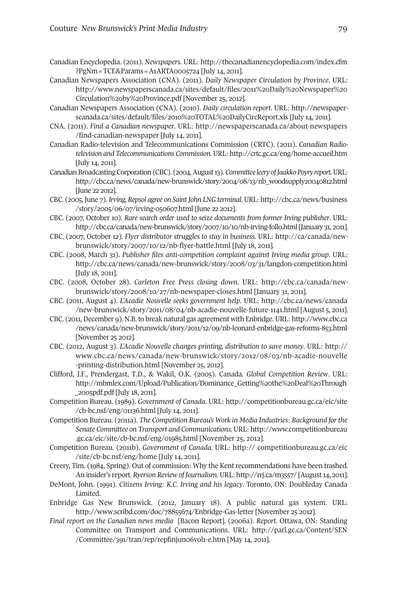- Canadian Encyclopedia. (2011). *Newspapers*. URL: [http://thecanadianencyclopedia.com/index.cfm](http://thecanadianencyclopedia.com/index.cfm?PgNm=TCE&Params=A1ARTA0005724) [?PgNm=TCE&Params=A1ARTA0005724](http://thecanadianencyclopedia.com/index.cfm?PgNm=TCE&Params=A1ARTA0005724) [July 14, 2011].
- Canadian Newspapers Association (CNA). (2011). *Daily Newspaper Circulation by Province*. URL: [http://www.newspaperscanada.ca/sites/default/files/2011%20Daily%20Newspaper%20](http://www.newspaperscanada.ca/sites/default/files/2011%20Daily%20Newspaper%20Circulation%20by%20Province.pdf) [Circulation%20by%20Province.pdf](http://www.newspaperscanada.ca/sites/default/files/2011%20Daily%20Newspaper%20Circulation%20by%20Province.pdf) [November 25, 2012].
- Canadian Newspapers Association (CNA). (2010). *Daily circulation report*. URL: [http://newspaper](http://newspaperscanada.ca/sites/default/files/2010%20TOTAL%20DailyCircReport.xls)[scanada.ca/sites/default/files/2010%20TOTAL%20DailyCircReport.xls](http://newspaperscanada.ca/sites/default/files/2010%20TOTAL%20DailyCircReport.xls) [July 14, 2011].
- CNA. (2011). *Find a Canadian newspaper*. URL: [http://newspaperscanada.ca/about-newspapers](http://newspaperscanada.ca/about-newspapers/find-canadian-newspaper) [/find-canadian-newspaper](http://newspaperscanada.ca/about-newspapers/find-canadian-newspaper) [July 14, 2011].
- Canadian Radio-television and Telecommunications Commission (CRTC). (2011). *Canadian Radiotelevision and Telecommunications Commission.*URL: <http://crtc.gc.ca/eng/home-accueil.htm> [July 14, 2011].
- CanadianBroadcastingCorporation(CBC). (2004,August13).*Committee leery ofJaakkoPoyry report*.URL: [http://cbc.ca/news/canada/new-brunswick/story/2004/08/13/nb\\_woodsupply20040812.html](http://cbc.ca/news/canada/new-brunswick/story/2004/08/13/nb_woodsupply20040812.html) [June 22 2012].
- CBC. (2005, June 7). *Irving, Repsol agree on Saint John LNG terminal*.URL: [http://cbc.ca/news/business](http://cbc.ca/news/business/story/2005/06/07/irving-050607.html) [/story/2005/06/07/irving-050607.html](http://cbc.ca/news/business/story/2005/06/07/irving-050607.html) [June 22 2012].
- CBC. (2007, October 10). *Rare search order used to seize documents from former Irving publisher*. URL: [http://cbc.ca/canada/new-brunswick/story/2007/10/10/nb-irving-follo.html\[](http://cbc.ca/canada/new-brunswick/story/2007/10/10/nb-irving-follo.html)January 31, 2011].
- CBC. (2007, October 12). *Flyer distributor struggles to stay in business*. URL: [http://ca/canada/new](http://ca/canada/new-brunswick/story/2007/10/12/nb-flyer-battle.html)[brunswick/story/2007/10/12/nb-flyer-battle.html](http://ca/canada/new-brunswick/story/2007/10/12/nb-flyer-battle.html) [July 18, 2011].
- CBC. (2008, March 31). *Publisher files anti-competition complaint against Irving media group*. URL: [http://cbc.ca/news/canada/new-brunswick/story/2008/03/31/langdon-competition.html](http://cbc.ca/news/canada/new-brunswick/story/2008/03/31/langdon-competition.html ) [July 18, 2011].
- CBC. (2008, October 28). *[Carleton](http://cbc.ca/news/canada/new-brunswick/story/2008/03/31/langdon-competition.html ) Free Press closing down*. URL: [http://cbc.ca/canada/new](http://cbc.ca/canada/new-brunswick/story/2008/10/27/nb-newspaper-closes.html)[brunswick/story/2008/10/27/nb-newspaper-closes.html](http://cbc.ca/canada/new-brunswick/story/2008/10/27/nb-newspaper-closes.html) [January 31, 2011].
- CBC. (2011, August 4). *L'Acadie Nouvelle seeks government help*. URL: [http://cbc.ca/news/canada](http://cbc.ca/news/canada/new-brunswick/story/2011/08/04/nb-acadie-nouvelle-future-1141.html) [/new-brunswick/story/2011/08/04/nb-acadie-nouvelle-future-1141.html](http://cbc.ca/news/canada/new-brunswick/story/2011/08/04/nb-acadie-nouvelle-future-1141.html) [August 5, 2011].
- CBC. (2011,December 9). N.B.to break natural gas agreement with Enbridge.URL: [http://www.cbc.ca](http://www.cbc.ca/news/canada/new-brunswick/story/2011/12/09/nb-leonard-enbridge-gas-reforms-853.html) [/news/canada/new-brunswick/story/2011/12/09/nb-leonard-enbridge-gas-reforms-853.html](http://www.cbc.ca/news/canada/new-brunswick/story/2011/12/09/nb-leonard-enbridge-gas-reforms-853.html) [November 25 2012].
- CBC. (2012, August 3). *L'Acadie Nouvelle changes printing, distribution to save money*. URL: [http://](http://www.cbc.ca/news/canada/new-brunswick/story/2012/08/03/nb-acadie-nouvelle-printing-distribution.html) [www.cbc.ca/news/canada/new-brunswick/story/2012/08/03/nb-acadie-nouvelle](http://www.cbc.ca/news/canada/new-brunswick/story/2012/08/03/nb-acadie-nouvelle-printing-distribution.html) [-printing-distribution.html](http://www.cbc.ca/news/canada/new-brunswick/story/2012/08/03/nb-acadie-nouvelle-printing-distribution.html) [November 25, 2012].
- Clifford, J.F., Prendergast, T.D., & Wakil, O.K. (2005). Canada. *Global Competition Review*. URL: [http://mbmlex.com/Upload/Publication/Dominance\\_Getting%20the%20Deal%20Through](http://mbmlex.com/Upload/Publication/Dominance_Getting%20the%20Deal%20Through_2005pdf.pdf) [\\_2005pdf.pdf](http://mbmlex.com/Upload/Publication/Dominance_Getting%20the%20Deal%20Through_2005pdf.pdf) [July 18, 2011].
- Competition Bureau. (1989). *Government of Canada*. URL: [http://competitionbureau.gc.ca/eic/site](http://competitionbureau.gc.ca/eic/site/cb-bc.nsf/eng/01136.html) [/cb-bc.nsf/eng/01136.html](http://competitionbureau.gc.ca/eic/site/cb-bc.nsf/eng/01136.html) [July 14, 2011].
- Competition Bureau. (2011a). *The Competition Bureau's Work in Media Industries: Background forthe Senate Committee on Transport and Communications.* URL: [http://www.competitionbureau](http://www.competitionbureau.gc.ca/eic/site/cb-bc.nsf/eng/01985.html) [.gc.ca/eic/site/cb-bc.nsf/eng/01985.html](http://www.competitionbureau.gc.ca/eic/site/cb-bc.nsf/eng/01985.html) [November 25, 2012].
- Competition Bureau. (2011b). *Government of Canada*. URL: http:// [competitionbureau.gc.ca/eic](http:// competitionbureau.gc.ca/eic/site/cb-bc.nsf/eng/home) [/site/cb-bc.nsf/eng/home](http:// competitionbureau.gc.ca/eic/site/cb-bc.nsf/eng/home) [July 14, 2011].
- Creery, Tim. (1984, Spring). Out of commission: Why the Kent recommendations have been trashed. An insider's report. *Ryerson Review of Journalism*.URL: <http://rrj.ca/m3557/> [August14, 2011].
- DeMont, John. (1991). *Citizens Irving: K.C. Irving and his legacy*. Toronto, ON: Doubleday Canada Limited.
- Enbridge Gas New Brunswick. (2012, January 18). A public natural gas system. URL: <http://www.scribd.com/doc/78855674/Enbridge-Gas-letter> [November 25 2012].
- *Final report on the Canadian news media* [Bacon Report]. (2006a). *Report*. Ottawa, ON: Standing Committee on Transport and Communications. URL: [http://parl.gc.ca/Content/SEN](http://parl.gc.ca/Content/SEN/Committee/391/tran/rep/repfinjun06vol1-e.htm) [/Committee/391/tran/rep/repfinjun06vol1-e.htm](http://parl.gc.ca/Content/SEN/Committee/391/tran/rep/repfinjun06vol1-e.htm) [May 14, 2011].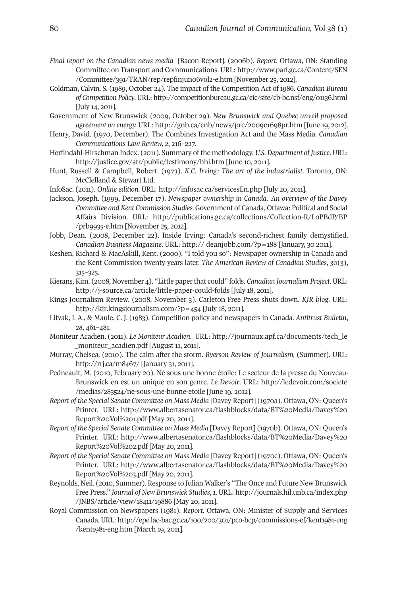- *Final report on the Canadian news media* [Bacon Report]. (2006b). *Report*. Ottawa, ON: Standing Committee on Transport and Communications. URL: [http://www.parl.gc.ca/Content/SEN](http://www.parl.gc.ca/Content/SEN/Committee/391/TRAN/rep/repfinjun06vol2-e.htm ) [/Committee/391/TRAN/rep/repfinjun06vol2-e.htm](http://www.parl.gc.ca/Content/SEN/Committee/391/TRAN/rep/repfinjun06vol2-e.htm ) [November 25, 2012].
- Goldman, Calvin. S. (1989, October 24). The impact of the Competition Act of 1986. *Canadian Bureau of Competition Policy*.URL: <http://competitionbureau.gc.ca/eic/site/cb-bc.nsf/eng/01136.html> [July 14, 2011].
- Government of New Brunswick (2009, October 29). *New Brunswick and Quebec unveil proposed agreement on energy.* URL: <http://gnb.ca/cnb/news/pre/2009e1698pr.htm> [June 19, 2012].
- Henry, David. (1970, December). The Combines Investigation Act and the Mass Media. *Canadian Communications Law Review, 2*, 216–227.
- Herfindahl-Hirschman Index. (2011). Summary of the methodology. *U.S. Department of Justice*. URL: <http://justice.gov/atr/public/testimony/hhi.htm> [June 10, 2011].
- Hunt, Russell & Campbell, Robert. (1973). *K.C. Irving: The art of the industrialist*. Toronto, ON: McClelland & Stewart Ltd.
- InfoSac. (2011). *Online edition.* URL: <http://infosac.ca/servicesEn.php> [July 20, 2011].
- Jackson, Joseph. (1999, December 17). *Newspaper ownership in Canada: An overview of the Davey Committee and Kent Commission Studies.* Government of Canada, Ottawa: Political and Social Affairs Division. URL: [http://publications.gc.ca/collections/Collection-R/LoPBdP/BP](http://publications.gc.ca/collections/Collection-R/LoPBdP/BP/prb9935-e.htm) [/prb9935-e.htm](http://publications.gc.ca/collections/Collection-R/LoPBdP/BP/prb9935-e.htm) [November 25, 2012].
- Jobb, Dean. (2008, December 22). Inside Irving: Canada's second-richest family demystified. *Canadian Business Magazine*. URL: http:// deanjobb.com/?p=188 [January, 30 2011].
- Keshen, Richard & MacAskill, Kent. (2000). "I told you so": Newspaper ownership in Canada and the Kent Commission twenty years later. *The American Review of Canadian Studies*, *30*(3), 315–325.
- Kierans, Kim. (2008, November 4). "Little paperthat could" folds. *Canadian Journalism Project*. URL: <http://j-source.ca/article/little-paper-could-folds> [July 18, 2011].
- Kings Journalism Review. (2008, November 3). Carleton Free Press shuts down. *KJR blog*. URL: <http://kjr.kingsjournalism.com/?p=454> [July 18, 2011].
- Litvak, I. A., & Maule, C. J. (1983). Competition policy and newspapers in Canada. *Antitrust Bulletin*, *28*, 461–481.
- Moniteur Acadien. (2011). *Le Moniteur Acadien*. URL: [http://journaux.apf.ca/documents/tech\\_le](http://journaux.apf.ca/documents/tech_le_moniteur_acadien.pdf) moniteur\_acadien.pdf [August 11, 2011].
- Murray, Chelsea. (2010). The calm after the storm. *Ryerson Review of Journalism,* (Summer). URL: <http://rrj.ca/m8467/> [January 31, 2011].
- Pedneault, M. (2010, February 20). Né sous une bonne étoile: Le secteur de la presse du Nouveau-Brunswick en est un unique en son genre. *Le Devoir*. URL: [http://ledevoir.com/societe](http://ledevoir.com/societe/medias/283524/ne-sous-une-bonne-etoile) [/medias/283524/ne-sous-une-bonne-etoile](http://ledevoir.com/societe/medias/283524/ne-sous-une-bonne-etoile) [June 19, 2012].
- *Report of the Special Senate Committee on Mass Media* [Davey Report] (1970a). Ottawa, ON: Queen's Printer. URL: [http://www.albertasenator.ca/flashblocks/data/BT%20Media/Davey%20](http://www.albertasenator.ca/flashblocks/data/BT%20Media/Davey%20Report%20Vol%201.pdf) [Report%20Vol%201.pdf](http://www.albertasenator.ca/flashblocks/data/BT%20Media/Davey%20Report%20Vol%201.pdf) [May 20, 2011].
- *Report of the Special Senate Committee on Mass Media* [Davey Report] (1970b). Ottawa, ON: Queen's Printer. URL: [http://www.albertasenator.ca/flashblocks/data/BT%20Media/Davey%20](http://www.albertasenator.ca/flashblocks/data/BT%20Media/Davey%20Report%20Vol%202.pdf) [Report%20Vol%202.pdf](http://www.albertasenator.ca/flashblocks/data/BT%20Media/Davey%20Report%20Vol%202.pdf) [May 20, 2011].
- *Report of the Special Senate Committee on Mass Media* [Davey Report] (1970c). Ottawa, ON: Queen's Printer. URL: [http://www.albertasenator.ca/flashblocks/data/BT%20Media/Davey%20](http://www.albertasenator.ca/flashblocks/data/BT%20Media/Davey%20Report%20Vol%203.pdf) [Report%20Vol%203.pdf](http://www.albertasenator.ca/flashblocks/data/BT%20Media/Davey%20Report%20Vol%203.pdf) [May 20, 2011].
- Reynolds, Neil. (2010, Summer). Response to Julian Walker's "The Once and Future New Brunswick Free Press." *Journal of New Brunswick Studies*, *1*. URL: [http://journals.hil.unb.ca/index.php](http://journals.hil.unb.ca/index.php/JNBS/article/view/18411/19886) [/JNBS/article/view/18411/19886](http://journals.hil.unb.ca/index.php/JNBS/article/view/18411/19886) [May 20, 2011].
- Royal Commission on Newspapers (1981). *Report*. Ottawa, ON: Minister of Supply and Services Canada. URL: [http://epe.lac-bac.gc.ca/100/200/301/pco-bcp/commissions-ef/kent1981-eng](http://epe.lac-bac.gc.ca/100/200/301/pco-bcp/commissions-ef/kent1981-eng/kent1981-eng.htm) [/kent1981-eng.htm](http://epe.lac-bac.gc.ca/100/200/301/pco-bcp/commissions-ef/kent1981-eng/kent1981-eng.htm) [March 19, 2011].